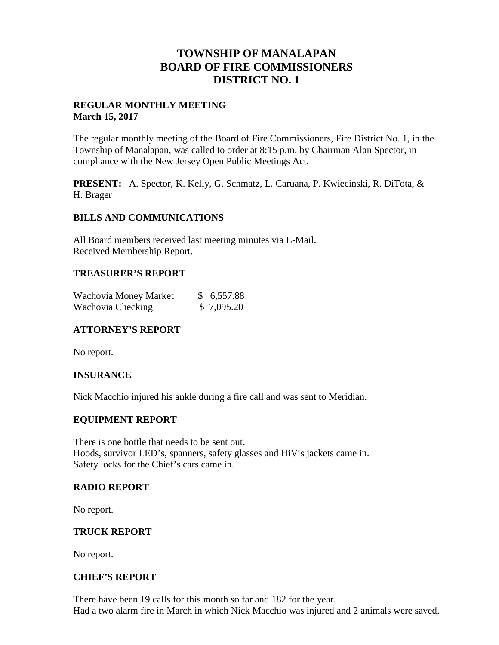## **TOWNSHIP OF MANALAPAN BOARD OF FIRE COMMISSIONERS DISTRICT NO. 1**

## **REGULAR MONTHLY MEETING March 15, 2017**

The regular monthly meeting of the Board of Fire Commissioners, Fire District No. 1, in the Township of Manalapan, was called to order at 8:15 p.m. by Chairman Alan Spector, in compliance with the New Jersey Open Public Meetings Act.

**PRESENT:** A. Spector, K. Kelly, G. Schmatz, L. Caruana, P. Kwiecinski, R. DiTota, & H. Brager

### **BILLS AND COMMUNICATIONS**

All Board members received last meeting minutes via E-Mail. Received Membership Report.

## **TREASURER'S REPORT**

| Wachovia Money Market | \$6,557.88 |
|-----------------------|------------|
| Wachovia Checking     | \$7,095.20 |

## **ATTORNEY'S REPORT**

No report.

## **INSURANCE**

Nick Macchio injured his ankle during a fire call and was sent to Meridian.

## **EQUIPMENT REPORT**

There is one bottle that needs to be sent out. Hoods, survivor LED's, spanners, safety glasses and HiVis jackets came in. Safety locks for the Chief's cars came in.

### **RADIO REPORT**

No report.

## **TRUCK REPORT**

No report.

### **CHIEF'S REPORT**

There have been 19 calls for this month so far and 182 for the year. Had a two alarm fire in March in which Nick Macchio was injured and 2 animals were saved.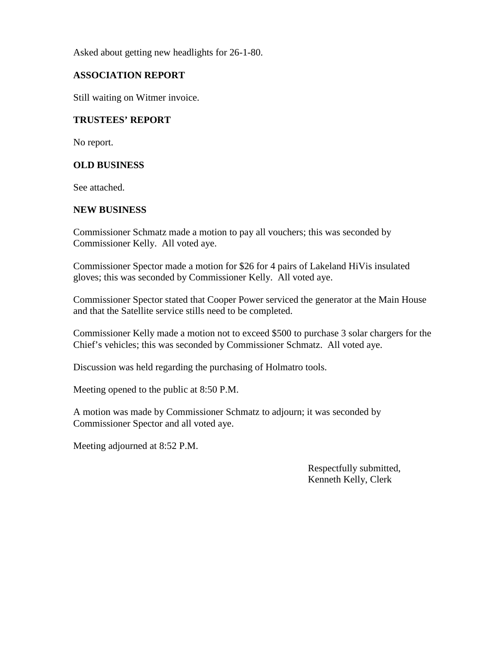Asked about getting new headlights for 26-1-80.

### **ASSOCIATION REPORT**

Still waiting on Witmer invoice.

### **TRUSTEES' REPORT**

No report.

### **OLD BUSINESS**

See attached.

### **NEW BUSINESS**

Commissioner Schmatz made a motion to pay all vouchers; this was seconded by Commissioner Kelly. All voted aye.

Commissioner Spector made a motion for \$26 for 4 pairs of Lakeland HiVis insulated gloves; this was seconded by Commissioner Kelly. All voted aye.

Commissioner Spector stated that Cooper Power serviced the generator at the Main House and that the Satellite service stills need to be completed.

Commissioner Kelly made a motion not to exceed \$500 to purchase 3 solar chargers for the Chief's vehicles; this was seconded by Commissioner Schmatz. All voted aye.

Discussion was held regarding the purchasing of Holmatro tools.

Meeting opened to the public at 8:50 P.M.

A motion was made by Commissioner Schmatz to adjourn; it was seconded by Commissioner Spector and all voted aye.

Meeting adjourned at 8:52 P.M.

Respectfully submitted, Kenneth Kelly, Clerk